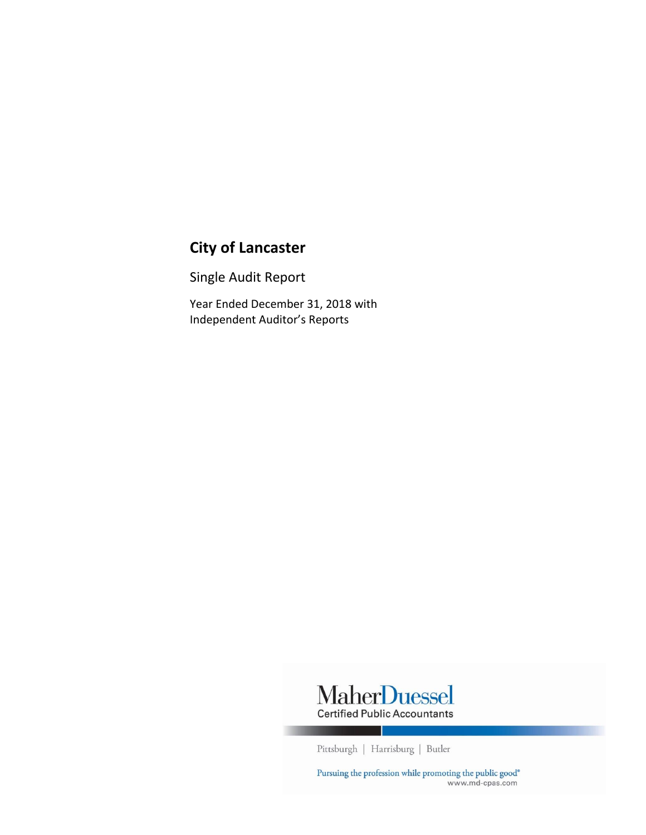# **City of Lancaster**

Single Audit Report

Year Ended December 31, 2018 with Independent Auditor's Reports



Pittsburgh | Harrisburg | Butler

Pursuing the profession while promoting the public good® www.md-cpas.com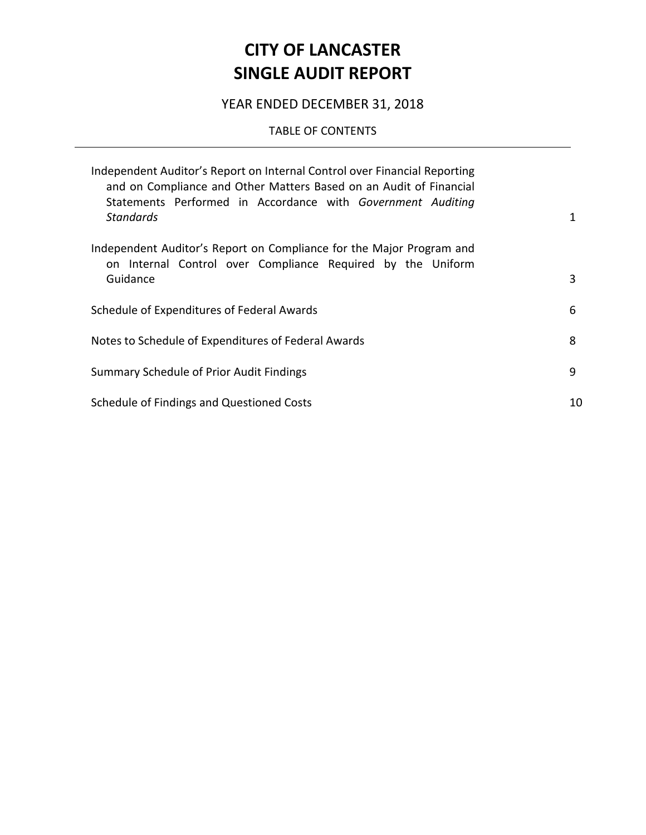# YEAR ENDED DECEMBER 31, 2018

# TABLE OF CONTENTS

| Independent Auditor's Report on Internal Control over Financial Reporting<br>and on Compliance and Other Matters Based on an Audit of Financial<br>Statements Performed in Accordance with Government Auditing<br><b>Standards</b> | 1  |
|------------------------------------------------------------------------------------------------------------------------------------------------------------------------------------------------------------------------------------|----|
| Independent Auditor's Report on Compliance for the Major Program and<br>on Internal Control over Compliance Required by the Uniform<br>Guidance                                                                                    | 3  |
| Schedule of Expenditures of Federal Awards                                                                                                                                                                                         | 6  |
| Notes to Schedule of Expenditures of Federal Awards                                                                                                                                                                                | 8  |
| Summary Schedule of Prior Audit Findings                                                                                                                                                                                           | 9  |
| Schedule of Findings and Questioned Costs                                                                                                                                                                                          | 10 |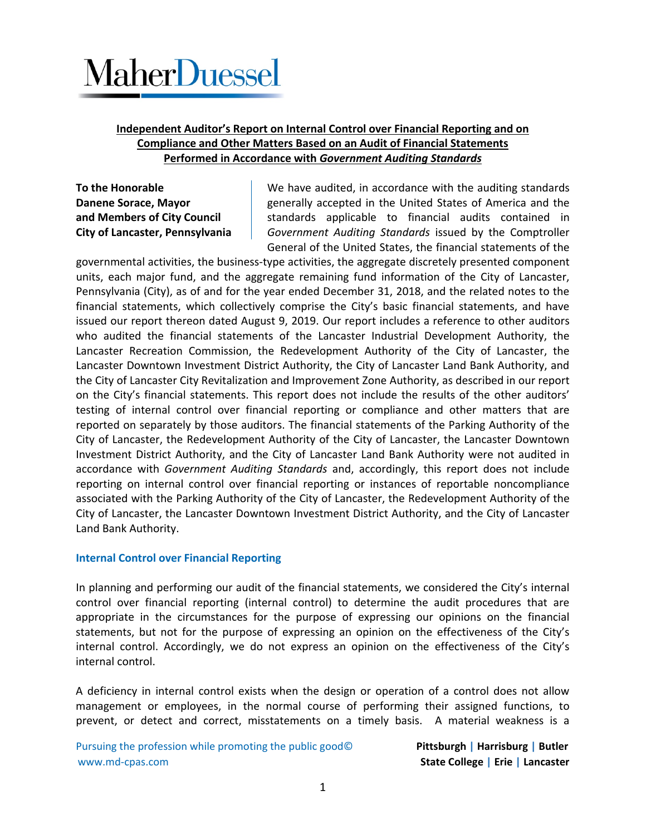# **MaherDuessel**

## **Independent Auditor's Report on Internal Control over Financial Reporting and on Compliance and Other Matters Based on an Audit of Financial Statements Performed in Accordance with** *Government Auditing Standards*

**To the Honorable Danene Sorace, Mayor and Members of City Council City of Lancaster, Pennsylvania** We have audited, in accordance with the auditing standards generally accepted in the United States of America and the standards applicable to financial audits contained in *Government Auditing Standards* issued by the Comptroller General of the United States, the financial statements of the

governmental activities, the business‐type activities, the aggregate discretely presented component units, each major fund, and the aggregate remaining fund information of the City of Lancaster, Pennsylvania (City), as of and for the year ended December 31, 2018, and the related notes to the financial statements, which collectively comprise the City's basic financial statements, and have issued our report thereon dated August 9, 2019. Our report includes a reference to other auditors who audited the financial statements of the Lancaster Industrial Development Authority, the Lancaster Recreation Commission, the Redevelopment Authority of the City of Lancaster, the Lancaster Downtown Investment District Authority, the City of Lancaster Land Bank Authority, and the City of Lancaster City Revitalization and Improvement Zone Authority, as described in our report on the City's financial statements. This report does not include the results of the other auditors' testing of internal control over financial reporting or compliance and other matters that are reported on separately by those auditors. The financial statements of the Parking Authority of the City of Lancaster, the Redevelopment Authority of the City of Lancaster, the Lancaster Downtown Investment District Authority, and the City of Lancaster Land Bank Authority were not audited in accordance with *Government Auditing Standards* and, accordingly, this report does not include reporting on internal control over financial reporting or instances of reportable noncompliance associated with the Parking Authority of the City of Lancaster, the Redevelopment Authority of the City of Lancaster, the Lancaster Downtown Investment District Authority, and the City of Lancaster Land Bank Authority.

#### **Internal Control over Financial Reporting**

In planning and performing our audit of the financial statements, we considered the City's internal control over financial reporting (internal control) to determine the audit procedures that are appropriate in the circumstances for the purpose of expressing our opinions on the financial statements, but not for the purpose of expressing an opinion on the effectiveness of the City's internal control. Accordingly, we do not express an opinion on the effectiveness of the City's internal control.

A deficiency in internal control exists when the design or operation of a control does not allow management or employees, in the normal course of performing their assigned functions, to prevent, or detect and correct, misstatements on a timely basis. A material weakness is a

 www.md‐cpas.com **State College | Erie | Lancaster**Pursuing the profession while promoting the public good© **Pittsburgh | Harrisburg | Butler**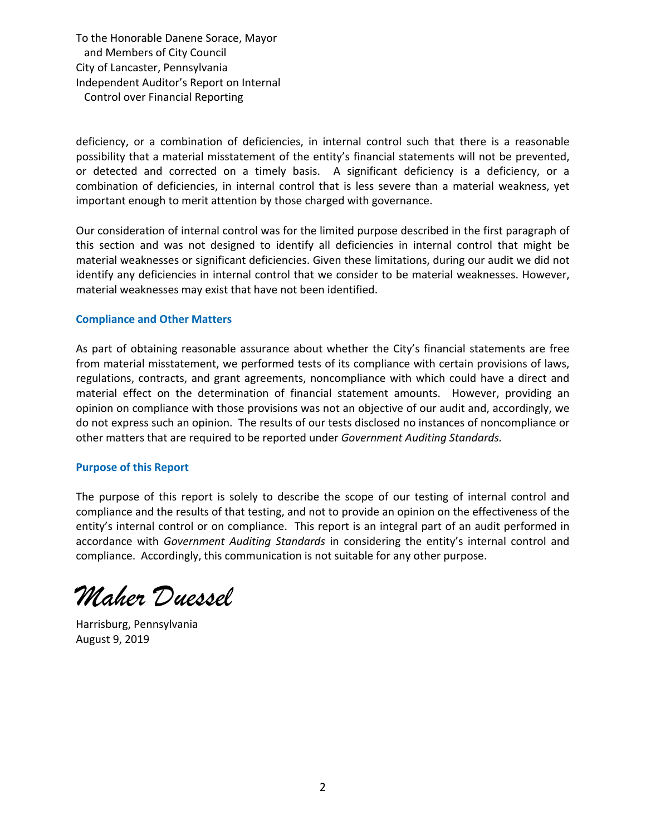To the Honorable Danene Sorace, Mayor and Members of City Council City of Lancaster, Pennsylvania Independent Auditor's Report on Internal Control over Financial Reporting

deficiency, or a combination of deficiencies, in internal control such that there is a reasonable possibility that a material misstatement of the entity's financial statements will not be prevented, or detected and corrected on a timely basis. A significant deficiency is a deficiency, or a combination of deficiencies, in internal control that is less severe than a material weakness, yet important enough to merit attention by those charged with governance.

Our consideration of internal control was for the limited purpose described in the first paragraph of this section and was not designed to identify all deficiencies in internal control that might be material weaknesses or significant deficiencies. Given these limitations, during our audit we did not identify any deficiencies in internal control that we consider to be material weaknesses. However, material weaknesses may exist that have not been identified.

#### **Compliance and Other Matters**

As part of obtaining reasonable assurance about whether the City's financial statements are free from material misstatement, we performed tests of its compliance with certain provisions of laws, regulations, contracts, and grant agreements, noncompliance with which could have a direct and material effect on the determination of financial statement amounts. However, providing an opinion on compliance with those provisions was not an objective of our audit and, accordingly, we do not express such an opinion. The results of our tests disclosed no instances of noncompliance or other matters that are required to be reported under *Government Auditing Standards.*

#### **Purpose of this Report**

The purpose of this report is solely to describe the scope of our testing of internal control and compliance and the results of that testing, and not to provide an opinion on the effectiveness of the entity's internal control or on compliance. This report is an integral part of an audit performed in accordance with *Government Auditing Standards* in considering the entity's internal control and compliance. Accordingly, this communication is not suitable for any other purpose.

*Maher Duessel*

Harrisburg, Pennsylvania August 9, 2019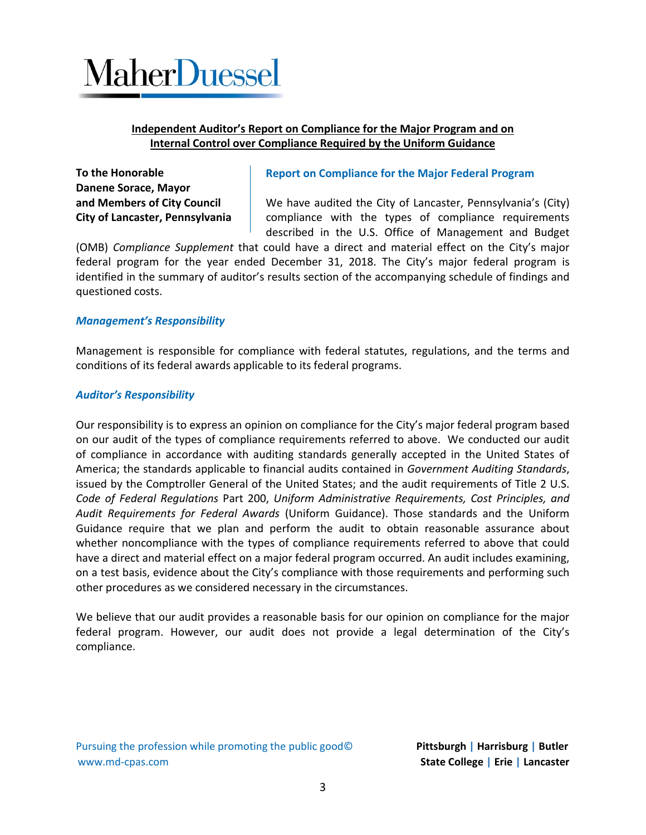

## **Independent Auditor's Report on Compliance for the Major Program and on Internal Control over Compliance Required by the Uniform Guidance**

**To the Honorable Danene Sorace, Mayor and Members of City Council City of Lancaster, Pennsylvania**

## **Report on Compliance for the Major Federal Program**

We have audited the City of Lancaster, Pennsylvania's (City) compliance with the types of compliance requirements described in the U.S. Office of Management and Budget

(OMB) *Compliance Supplement* that could have a direct and material effect on the City's major federal program for the year ended December 31, 2018. The City's major federal program is identified in the summary of auditor's results section of the accompanying schedule of findings and questioned costs.

## *Management's Responsibility*

Management is responsible for compliance with federal statutes, regulations, and the terms and conditions of its federal awards applicable to its federal programs.

## *Auditor's Responsibility*

Our responsibility is to express an opinion on compliance for the City's major federal program based on our audit of the types of compliance requirements referred to above. We conducted our audit of compliance in accordance with auditing standards generally accepted in the United States of America; the standards applicable to financial audits contained in *Government Auditing Standards*, issued by the Comptroller General of the United States; and the audit requirements of Title 2 U.S. *Code of Federal Regulations* Part 200, *Uniform Administrative Requirements, Cost Principles, and Audit Requirements for Federal Awards* (Uniform Guidance). Those standards and the Uniform Guidance require that we plan and perform the audit to obtain reasonable assurance about whether noncompliance with the types of compliance requirements referred to above that could have a direct and material effect on a major federal program occurred. An audit includes examining, on a test basis, evidence about the City's compliance with those requirements and performing such other procedures as we considered necessary in the circumstances.

We believe that our audit provides a reasonable basis for our opinion on compliance for the major federal program. However, our audit does not provide a legal determination of the City's compliance.

www.md-cpas.com Pursuing the profession while promoting the public good© **Pittsburgh | Harrisburg | Butler**

State College | Erie | Lancaster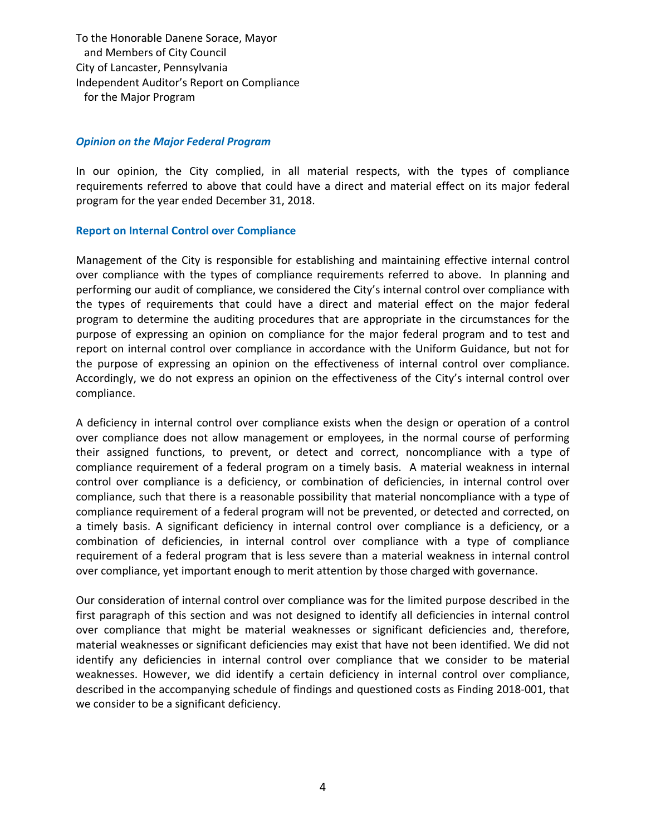To the Honorable Danene Sorace, Mayor and Members of City Council City of Lancaster, Pennsylvania Independent Auditor's Report on Compliance for the Major Program

#### *Opinion on the Major Federal Program*

In our opinion, the City complied, in all material respects, with the types of compliance requirements referred to above that could have a direct and material effect on its major federal program for the year ended December 31, 2018.

#### **Report on Internal Control over Compliance**

Management of the City is responsible for establishing and maintaining effective internal control over compliance with the types of compliance requirements referred to above. In planning and performing our audit of compliance, we considered the City's internal control over compliance with the types of requirements that could have a direct and material effect on the major federal program to determine the auditing procedures that are appropriate in the circumstances for the purpose of expressing an opinion on compliance for the major federal program and to test and report on internal control over compliance in accordance with the Uniform Guidance, but not for the purpose of expressing an opinion on the effectiveness of internal control over compliance. Accordingly, we do not express an opinion on the effectiveness of the City's internal control over compliance.

A deficiency in internal control over compliance exists when the design or operation of a control over compliance does not allow management or employees, in the normal course of performing their assigned functions, to prevent, or detect and correct, noncompliance with a type of compliance requirement of a federal program on a timely basis. A material weakness in internal control over compliance is a deficiency, or combination of deficiencies, in internal control over compliance, such that there is a reasonable possibility that material noncompliance with a type of compliance requirement of a federal program will not be prevented, or detected and corrected, on a timely basis. A significant deficiency in internal control over compliance is a deficiency, or a combination of deficiencies, in internal control over compliance with a type of compliance requirement of a federal program that is less severe than a material weakness in internal control over compliance, yet important enough to merit attention by those charged with governance.

Our consideration of internal control over compliance was for the limited purpose described in the first paragraph of this section and was not designed to identify all deficiencies in internal control over compliance that might be material weaknesses or significant deficiencies and, therefore, material weaknesses or significant deficiencies may exist that have not been identified. We did not identify any deficiencies in internal control over compliance that we consider to be material weaknesses. However, we did identify a certain deficiency in internal control over compliance, described in the accompanying schedule of findings and questioned costs as Finding 2018‐001, that we consider to be a significant deficiency.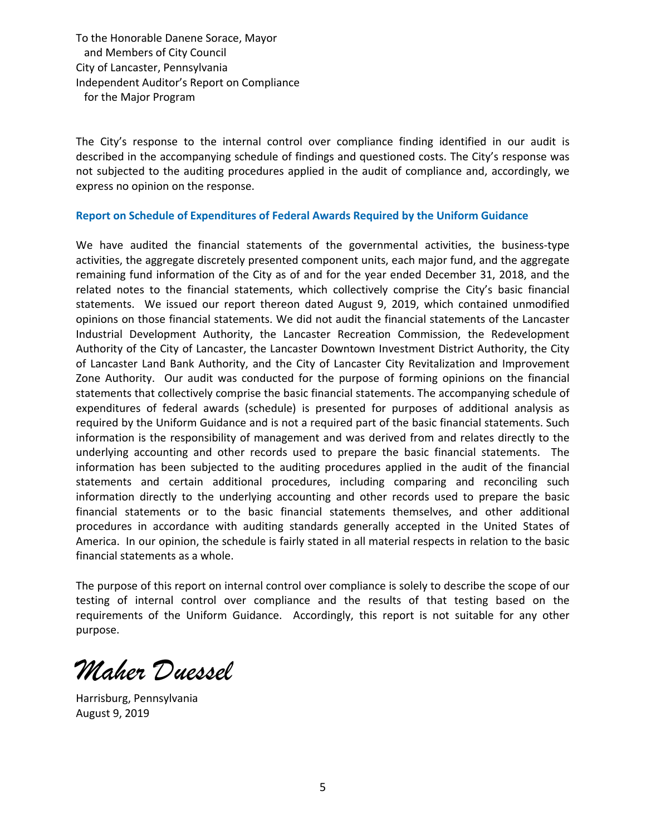To the Honorable Danene Sorace, Mayor and Members of City Council City of Lancaster, Pennsylvania Independent Auditor's Report on Compliance for the Major Program

The City's response to the internal control over compliance finding identified in our audit is described in the accompanying schedule of findings and questioned costs. The City's response was not subjected to the auditing procedures applied in the audit of compliance and, accordingly, we express no opinion on the response.

#### **Report on Schedule of Expenditures of Federal Awards Required by the Uniform Guidance**

We have audited the financial statements of the governmental activities, the business-type activities, the aggregate discretely presented component units, each major fund, and the aggregate remaining fund information of the City as of and for the year ended December 31, 2018, and the related notes to the financial statements, which collectively comprise the City's basic financial statements. We issued our report thereon dated August 9, 2019, which contained unmodified opinions on those financial statements. We did not audit the financial statements of the Lancaster Industrial Development Authority, the Lancaster Recreation Commission, the Redevelopment Authority of the City of Lancaster, the Lancaster Downtown Investment District Authority, the City of Lancaster Land Bank Authority, and the City of Lancaster City Revitalization and Improvement Zone Authority. Our audit was conducted for the purpose of forming opinions on the financial statements that collectively comprise the basic financial statements. The accompanying schedule of expenditures of federal awards (schedule) is presented for purposes of additional analysis as required by the Uniform Guidance and is not a required part of the basic financial statements. Such information is the responsibility of management and was derived from and relates directly to the underlying accounting and other records used to prepare the basic financial statements. The information has been subjected to the auditing procedures applied in the audit of the financial statements and certain additional procedures, including comparing and reconciling such information directly to the underlying accounting and other records used to prepare the basic financial statements or to the basic financial statements themselves, and other additional procedures in accordance with auditing standards generally accepted in the United States of America. In our opinion, the schedule is fairly stated in all material respects in relation to the basic financial statements as a whole.

The purpose of this report on internal control over compliance is solely to describe the scope of our testing of internal control over compliance and the results of that testing based on the requirements of the Uniform Guidance. Accordingly, this report is not suitable for any other purpose.

*Maher Duessel*

Harrisburg, Pennsylvania August 9, 2019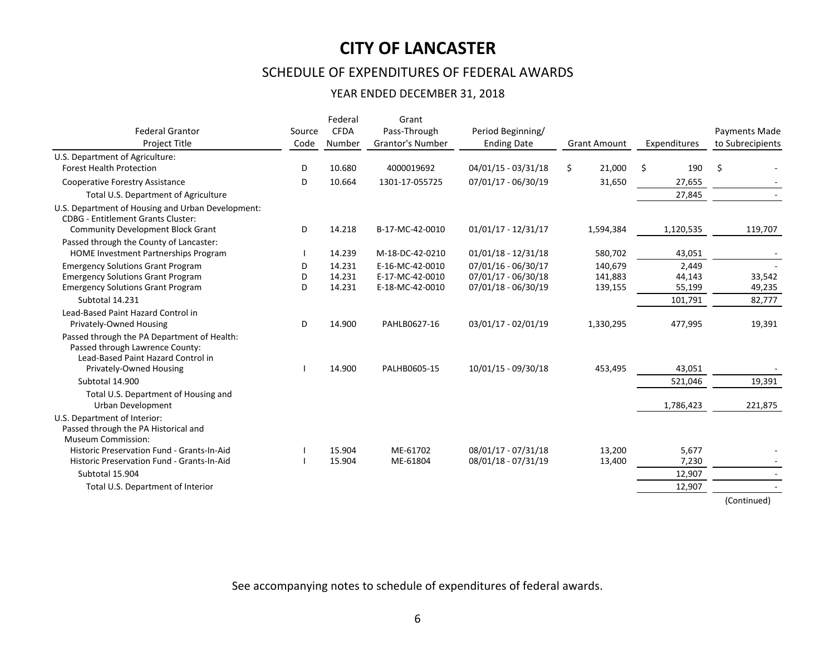# **CITY OF LANCASTER**

# SCHEDULE OF EXPENDITURES OF FEDERAL AWARDS

## YEAR ENDED DECEMBER 31, 2018

| <b>Federal Grantor</b><br>Project Title                                                                              | Source<br>Code | Federal<br><b>CFDA</b><br>Number | Grant<br>Pass-Through<br>Grantor's Number | Period Beginning/<br><b>Ending Date</b> | <b>Grant Amount</b> | Expenditures | Payments Made<br>to Subrecipients |
|----------------------------------------------------------------------------------------------------------------------|----------------|----------------------------------|-------------------------------------------|-----------------------------------------|---------------------|--------------|-----------------------------------|
| U.S. Department of Agriculture:                                                                                      |                |                                  |                                           |                                         |                     |              |                                   |
| <b>Forest Health Protection</b>                                                                                      | D              | 10.680                           | 4000019692                                | 04/01/15 - 03/31/18                     | \$<br>21,000        | 190<br>\$    | \$                                |
| Cooperative Forestry Assistance                                                                                      | D              | 10.664                           | 1301-17-055725                            | 07/01/17 - 06/30/19                     | 31,650              | 27,655       |                                   |
| Total U.S. Department of Agriculture                                                                                 |                |                                  |                                           |                                         |                     | 27,845       |                                   |
| U.S. Department of Housing and Urban Development:<br><b>CDBG</b> - Entitlement Grants Cluster:                       |                |                                  |                                           |                                         |                     |              |                                   |
| <b>Community Development Block Grant</b>                                                                             | D              | 14.218                           | B-17-MC-42-0010                           | $01/01/17 - 12/31/17$                   | 1,594,384           | 1,120,535    | 119,707                           |
| Passed through the County of Lancaster:<br>HOME Investment Partnerships Program                                      |                | 14.239                           | M-18-DC-42-0210                           | $01/01/18 - 12/31/18$                   | 580,702             | 43,051       |                                   |
| <b>Emergency Solutions Grant Program</b>                                                                             | D              | 14.231                           | E-16-MC-42-0010                           | 07/01/16 - 06/30/17                     | 140,679             | 2,449        |                                   |
| <b>Emergency Solutions Grant Program</b>                                                                             | D              | 14.231                           | E-17-MC-42-0010                           | 07/01/17 - 06/30/18                     | 141,883             | 44,143       | 33,542                            |
| <b>Emergency Solutions Grant Program</b>                                                                             | D              | 14.231                           | E-18-MC-42-0010                           | 07/01/18 - 06/30/19                     | 139,155             | 55,199       | 49,235                            |
| Subtotal 14.231                                                                                                      |                |                                  |                                           |                                         |                     | 101,791      | 82,777                            |
| Lead-Based Paint Hazard Control in                                                                                   |                |                                  |                                           |                                         |                     |              |                                   |
| Privately-Owned Housing                                                                                              | D              | 14.900                           | PAHLB0627-16                              | 03/01/17 - 02/01/19                     | 1,330,295           | 477,995      | 19,391                            |
| Passed through the PA Department of Health:<br>Passed through Lawrence County:<br>Lead-Based Paint Hazard Control in |                |                                  |                                           |                                         |                     |              |                                   |
| Privately-Owned Housing                                                                                              |                | 14.900                           | PALHB0605-15                              | 10/01/15 - 09/30/18                     | 453,495             | 43,051       |                                   |
| Subtotal 14.900                                                                                                      |                |                                  |                                           |                                         |                     | 521,046      | 19,391                            |
| Total U.S. Department of Housing and<br>Urban Development                                                            |                |                                  |                                           |                                         |                     | 1,786,423    | 221,875                           |
| U.S. Department of Interior:<br>Passed through the PA Historical and<br><b>Museum Commission:</b>                    |                |                                  |                                           |                                         |                     |              |                                   |
| Historic Preservation Fund - Grants-In-Aid                                                                           |                | 15.904                           | ME-61702                                  | 08/01/17 - 07/31/18                     | 13,200              | 5,677        |                                   |
| Historic Preservation Fund - Grants-In-Aid                                                                           |                | 15.904                           | ME-61804                                  | 08/01/18 - 07/31/19                     | 13,400              | 7,230        |                                   |
| Subtotal 15.904                                                                                                      |                |                                  |                                           |                                         |                     | 12,907       |                                   |
| Total U.S. Department of Interior                                                                                    |                |                                  |                                           |                                         |                     | 12,907       |                                   |
|                                                                                                                      |                |                                  |                                           |                                         |                     |              | (Continued)                       |

See accompanying notes to schedule of expenditures of federal awards.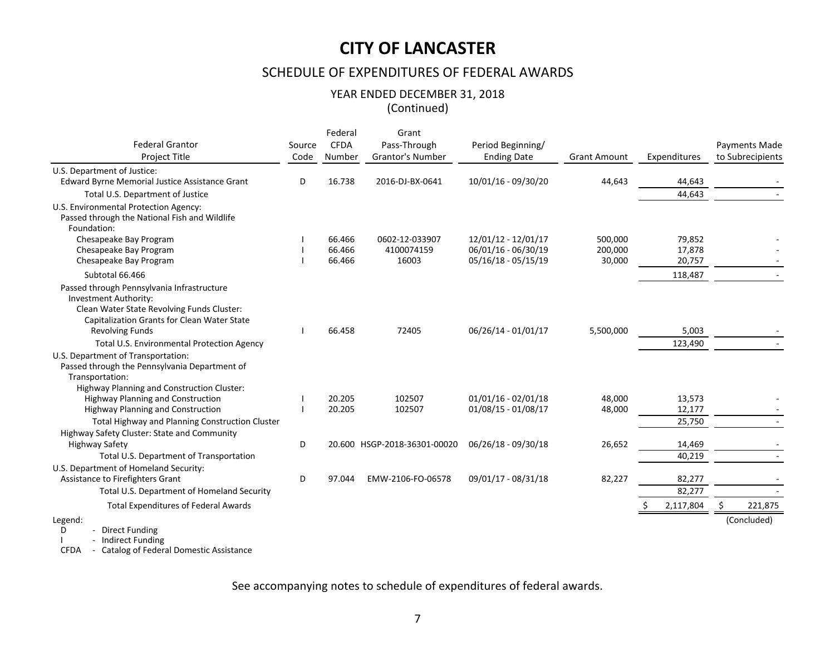# **CITY OF LANCASTER**

# SCHEDULE OF EXPENDITURES OF FEDERAL AWARDS

## YEAR ENDED DECEMBER 31, 2018 (Continued)

|                                                                                                                                                                                                    |        | Federal     | Grant                        |                       |                     |                  |                  |
|----------------------------------------------------------------------------------------------------------------------------------------------------------------------------------------------------|--------|-------------|------------------------------|-----------------------|---------------------|------------------|------------------|
| <b>Federal Grantor</b>                                                                                                                                                                             | Source | <b>CFDA</b> | Pass-Through                 | Period Beginning/     |                     |                  | Payments Made    |
| Project Title                                                                                                                                                                                      | Code   | Number      | Grantor's Number             | <b>Ending Date</b>    | <b>Grant Amount</b> | Expenditures     | to Subrecipients |
| U.S. Department of Justice:                                                                                                                                                                        |        |             |                              |                       |                     |                  |                  |
| Edward Byrne Memorial Justice Assistance Grant                                                                                                                                                     | D      | 16.738      | 2016-DJ-BX-0641              | 10/01/16 - 09/30/20   | 44,643              | 44,643           |                  |
| Total U.S. Department of Justice                                                                                                                                                                   |        |             |                              |                       |                     | 44,643           |                  |
| U.S. Environmental Protection Agency:<br>Passed through the National Fish and Wildlife<br>Foundation:                                                                                              |        |             |                              |                       |                     |                  |                  |
| Chesapeake Bay Program                                                                                                                                                                             |        | 66.466      | 0602-12-033907               | 12/01/12 - 12/01/17   | 500,000             | 79,852           |                  |
| Chesapeake Bay Program                                                                                                                                                                             |        | 66.466      | 4100074159                   | 06/01/16 - 06/30/19   | 200,000             | 17,878           |                  |
| Chesapeake Bay Program                                                                                                                                                                             |        | 66.466      | 16003                        | 05/16/18 - 05/15/19   | 30,000              | 20,757           |                  |
| Subtotal 66.466                                                                                                                                                                                    |        |             |                              |                       |                     | 118,487          |                  |
| Passed through Pennsylvania Infrastructure<br>Investment Authority:<br>Clean Water State Revolving Funds Cluster:<br>Capitalization Grants for Clean Water State                                   |        |             |                              |                       |                     |                  |                  |
| <b>Revolving Funds</b>                                                                                                                                                                             |        | 66.458      | 72405                        | 06/26/14 - 01/01/17   | 5,500,000           | 5,003            |                  |
| Total U.S. Environmental Protection Agency<br>U.S. Department of Transportation:<br>Passed through the Pennsylvania Department of<br>Transportation:<br>Highway Planning and Construction Cluster: |        |             |                              |                       |                     | 123,490          |                  |
| <b>Highway Planning and Construction</b>                                                                                                                                                           |        | 20.205      | 102507                       | $01/01/16 - 02/01/18$ | 48,000              | 13,573           |                  |
| <b>Highway Planning and Construction</b>                                                                                                                                                           |        | 20.205      | 102507                       | $01/08/15 - 01/08/17$ | 48,000              | 12,177           |                  |
| Total Highway and Planning Construction Cluster                                                                                                                                                    |        |             |                              |                       |                     | 25,750           |                  |
| Highway Safety Cluster: State and Community<br><b>Highway Safety</b>                                                                                                                               | D      |             | 20.600 HSGP-2018-36301-00020 | 06/26/18 - 09/30/18   | 26,652              | 14,469           |                  |
| Total U.S. Department of Transportation                                                                                                                                                            |        |             |                              |                       |                     | 40,219           |                  |
| U.S. Department of Homeland Security:<br>Assistance to Firefighters Grant<br>Total U.S. Department of Homeland Security                                                                            | D      | 97.044      | EMW-2106-FO-06578            | 09/01/17 - 08/31/18   | 82,227              | 82,277<br>82,277 |                  |
|                                                                                                                                                                                                    |        |             |                              |                       |                     |                  |                  |
| <b>Total Expenditures of Federal Awards</b>                                                                                                                                                        |        |             |                              |                       |                     | 2,117,804        | 221,875<br>\$    |
| Legend:<br><b>Direct Funding</b><br>D<br>- Indirect Funding                                                                                                                                        |        |             |                              |                       |                     |                  | (Concluded)      |

CFDA - Catalog of Federal Domestic Assistance

See accompanying notes to schedule of expenditures of federal awards.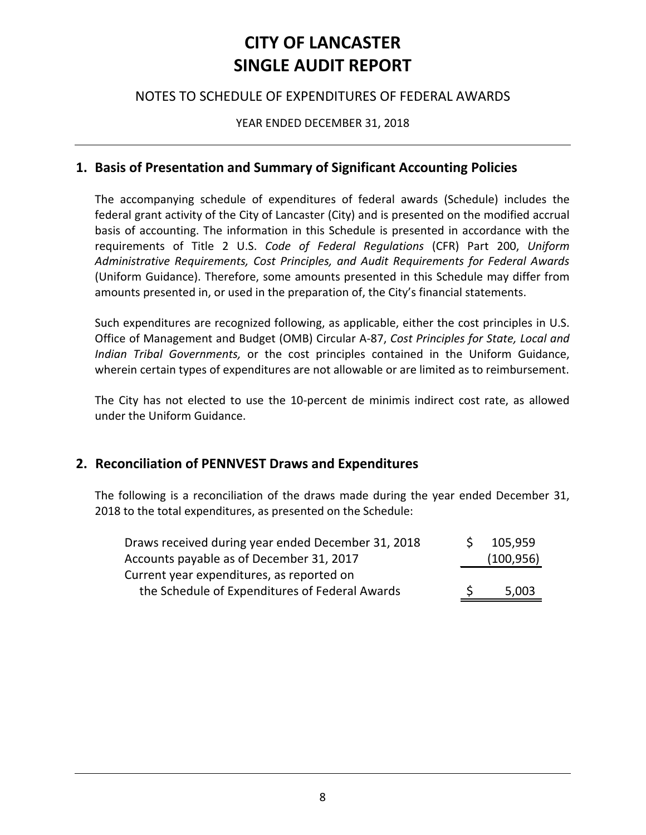# NOTES TO SCHEDULE OF EXPENDITURES OF FEDERAL AWARDS

YEAR ENDED DECEMBER 31, 2018

# **1. Basis of Presentation and Summary of Significant Accounting Policies**

The accompanying schedule of expenditures of federal awards (Schedule) includes the federal grant activity of the City of Lancaster (City) and is presented on the modified accrual basis of accounting. The information in this Schedule is presented in accordance with the requirements of Title 2 U.S. *Code of Federal Regulations* (CFR) Part 200, *Uniform Administrative Requirements, Cost Principles, and Audit Requirements for Federal Awards* (Uniform Guidance). Therefore, some amounts presented in this Schedule may differ from amounts presented in, or used in the preparation of, the City's financial statements.

Such expenditures are recognized following, as applicable, either the cost principles in U.S. Office of Management and Budget (OMB) Circular A-87, *Cost Principles for State, Local and Indian Tribal Governments,* or the cost principles contained in the Uniform Guidance, wherein certain types of expenditures are not allowable or are limited as to reimbursement.

The City has not elected to use the 10-percent de minimis indirect cost rate, as allowed under the Uniform Guidance.

# **2. Reconciliation of PENNVEST Draws and Expenditures**

The following is a reconciliation of the draws made during the year ended December 31, 2018 to the total expenditures, as presented on the Schedule:

| Draws received during year ended December 31, 2018 | 105,959    |
|----------------------------------------------------|------------|
| Accounts payable as of December 31, 2017           | (100, 956) |
| Current year expenditures, as reported on          |            |
| the Schedule of Expenditures of Federal Awards     | 5,003      |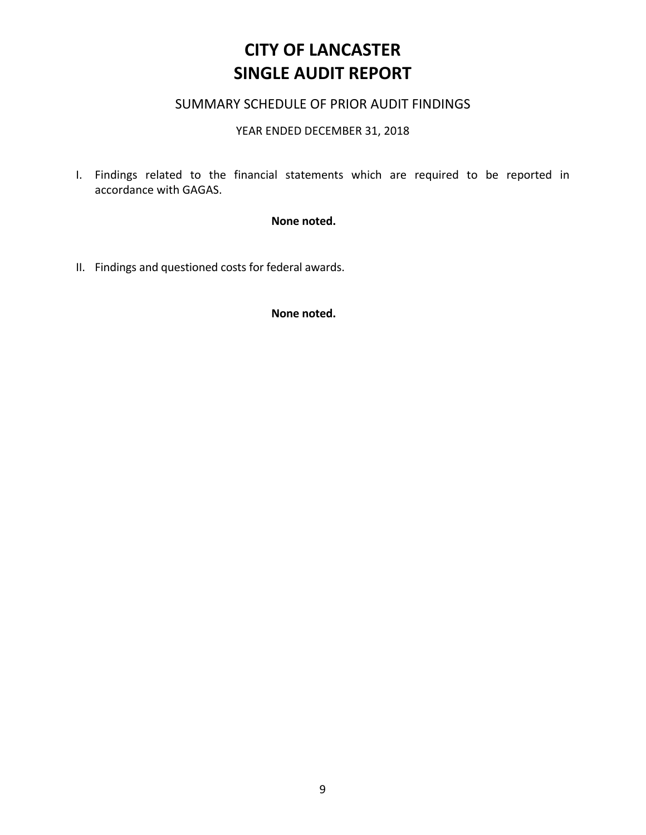## SUMMARY SCHEDULE OF PRIOR AUDIT FINDINGS

YEAR ENDED DECEMBER 31, 2018

I. Findings related to the financial statements which are required to be reported in accordance with GAGAS.

## **None noted.**

II. Findings and questioned costs for federal awards.

 **None noted.**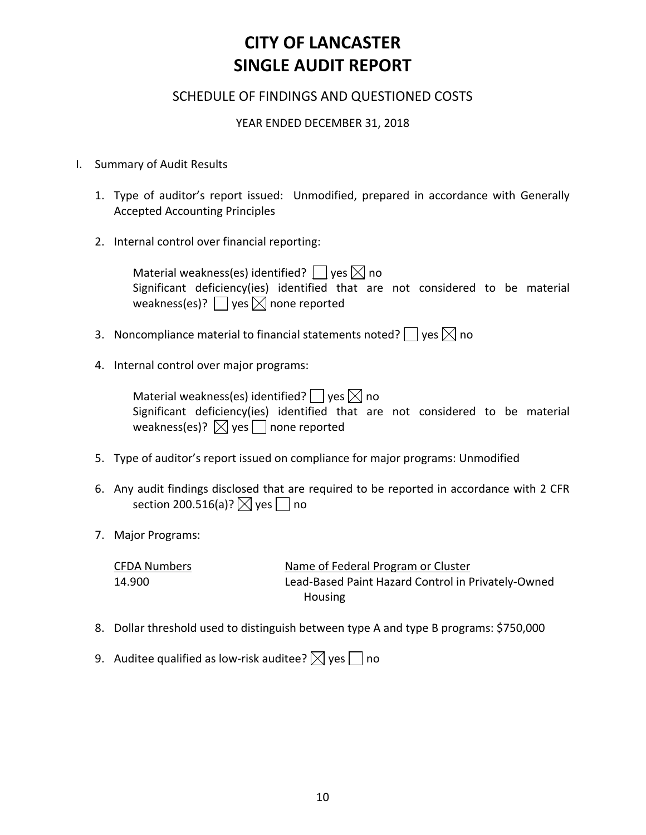# SCHEDULE OF FINDINGS AND QUESTIONED COSTS

## YEAR ENDED DECEMBER 31, 2018

## I. Summary of Audit Results

- 1. Type of auditor's report issued: Unmodified, prepared in accordance with Generally Accepted Accounting Principles
- 2. Internal control over financial reporting:

| Material weakness(es) identified? $\Box$ yes $\boxtimes$ no                   |  |  |  |  |
|-------------------------------------------------------------------------------|--|--|--|--|
| Significant deficiency(ies) identified that are not considered to be material |  |  |  |  |
| weakness(es)? $\Box$ yes $\boxtimes$ none reported                            |  |  |  |  |

- 3. Noncompliance material to financial statements noted?  $\Box$  yes  $\boxtimes$  no
- 4. Internal control over major programs:

| Material weakness(es) identified? $\Box$ yes $\boxtimes$ no                   |  |  |  |  |
|-------------------------------------------------------------------------------|--|--|--|--|
| Significant deficiency(ies) identified that are not considered to be material |  |  |  |  |
| weakness(es)? $\boxtimes$ yes $\Box$ none reported                            |  |  |  |  |

- 5. Type of auditor's report issued on compliance for major programs: Unmodified
- 6. Any audit findings disclosed that are required to be reported in accordance with 2 CFR section 200.516(a)?  $\boxtimes$  yes  $\Box$  no
- 7. Major Programs:

| CFDA Numbers | Name of Federal Program or Cluster                 |
|--------------|----------------------------------------------------|
| 14.900       | Lead-Based Paint Hazard Control in Privately-Owned |
|              | Housing                                            |

- 8. Dollar threshold used to distinguish between type A and type B programs: \$750,000
- 9. Auditee qualified as low-risk auditee?  $\boxtimes$  yes  $\Box$  no